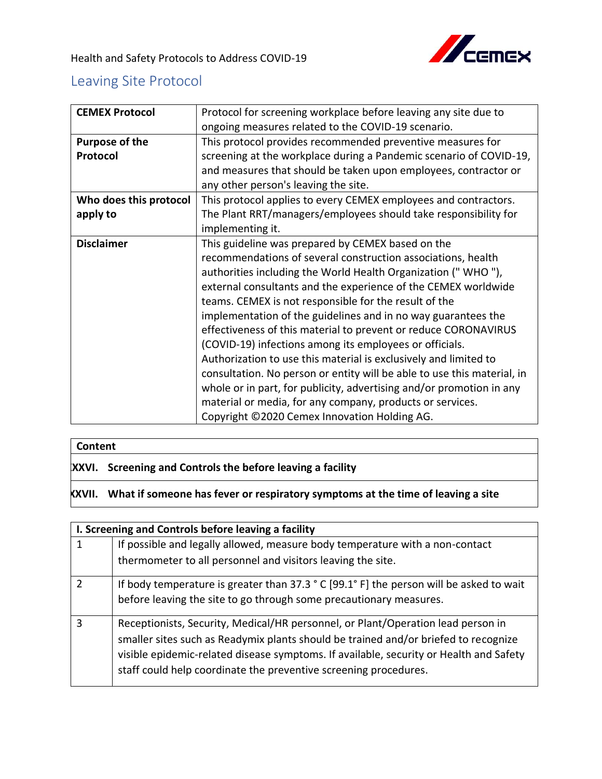

## Leaving Site Protocol

| <b>CEMEX Protocol</b>  | Protocol for screening workplace before leaving any site due to         |
|------------------------|-------------------------------------------------------------------------|
|                        | ongoing measures related to the COVID-19 scenario.                      |
| Purpose of the         | This protocol provides recommended preventive measures for              |
| Protocol               | screening at the workplace during a Pandemic scenario of COVID-19,      |
|                        | and measures that should be taken upon employees, contractor or         |
|                        | any other person's leaving the site.                                    |
| Who does this protocol | This protocol applies to every CEMEX employees and contractors.         |
| apply to               | The Plant RRT/managers/employees should take responsibility for         |
|                        | implementing it.                                                        |
| <b>Disclaimer</b>      | This guideline was prepared by CEMEX based on the                       |
|                        | recommendations of several construction associations, health            |
|                        | authorities including the World Health Organization ("WHO"),            |
|                        | external consultants and the experience of the CEMEX worldwide          |
|                        | teams. CEMEX is not responsible for the result of the                   |
|                        | implementation of the guidelines and in no way guarantees the           |
|                        | effectiveness of this material to prevent or reduce CORONAVIRUS         |
|                        | (COVID-19) infections among its employees or officials.                 |
|                        | Authorization to use this material is exclusively and limited to        |
|                        | consultation. No person or entity will be able to use this material, in |
|                        | whole or in part, for publicity, advertising and/or promotion in any    |
|                        | material or media, for any company, products or services.               |
|                        | Copyright ©2020 Cemex Innovation Holding AG.                            |

## **Content**

## **XXXVI. Screening and Controls the before leaving a facility**

## **XXXVII. What if someone has fever or respiratory symptoms at the time of leaving a site**

| I. Screening and Controls before leaving a facility |                                                                                                                                                                                                                                                                                                                                       |
|-----------------------------------------------------|---------------------------------------------------------------------------------------------------------------------------------------------------------------------------------------------------------------------------------------------------------------------------------------------------------------------------------------|
| 1                                                   | If possible and legally allowed, measure body temperature with a non-contact                                                                                                                                                                                                                                                          |
|                                                     | thermometer to all personnel and visitors leaving the site.                                                                                                                                                                                                                                                                           |
| $\mathcal{P}$                                       | If body temperature is greater than 37.3 $\degree$ C [99.1 $\degree$ F] the person will be asked to wait<br>before leaving the site to go through some precautionary measures.                                                                                                                                                        |
| 3                                                   | Receptionists, Security, Medical/HR personnel, or Plant/Operation lead person in<br>smaller sites such as Readymix plants should be trained and/or briefed to recognize<br>visible epidemic-related disease symptoms. If available, security or Health and Safety<br>staff could help coordinate the preventive screening procedures. |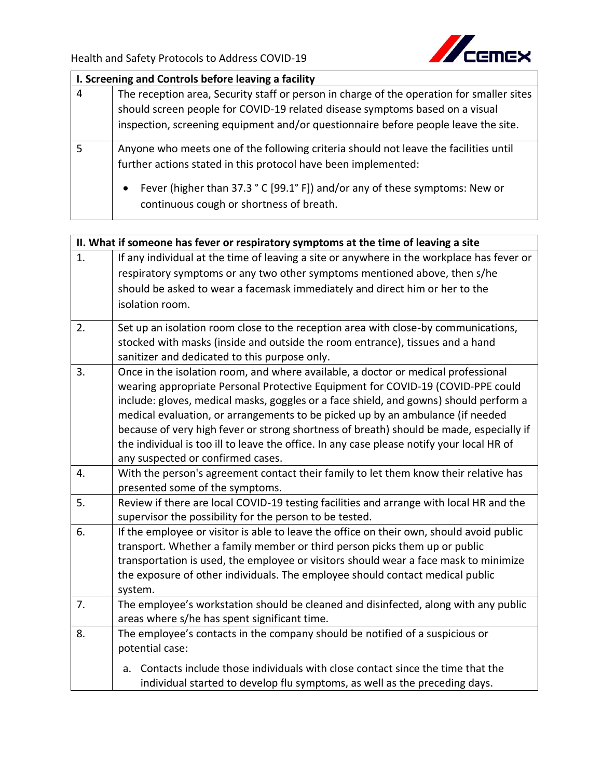

| I. Screening and Controls before leaving a facility |                                                                                                                                      |
|-----------------------------------------------------|--------------------------------------------------------------------------------------------------------------------------------------|
| $\overline{4}$                                      | The reception area, Security staff or person in charge of the operation for smaller sites                                            |
|                                                     | should screen people for COVID-19 related disease symptoms based on a visual                                                         |
|                                                     | inspection, screening equipment and/or questionnaire before people leave the site.                                                   |
| 5                                                   | Anyone who meets one of the following criteria should not leave the facilities until                                                 |
|                                                     | further actions stated in this protocol have been implemented:                                                                       |
|                                                     | Fever (higher than 37.3 ° C [99.1° F]) and/or any of these symptoms: New or<br>$\bullet$<br>continuous cough or shortness of breath. |

| II. What if someone has fever or respiratory symptoms at the time of leaving a site |                                                                                           |  |
|-------------------------------------------------------------------------------------|-------------------------------------------------------------------------------------------|--|
| 1.                                                                                  | If any individual at the time of leaving a site or anywhere in the workplace has fever or |  |
|                                                                                     | respiratory symptoms or any two other symptoms mentioned above, then s/he                 |  |
|                                                                                     | should be asked to wear a facemask immediately and direct him or her to the               |  |
|                                                                                     | isolation room.                                                                           |  |
| 2.                                                                                  | Set up an isolation room close to the reception area with close-by communications,        |  |
|                                                                                     | stocked with masks (inside and outside the room entrance), tissues and a hand             |  |
|                                                                                     | sanitizer and dedicated to this purpose only.                                             |  |
| 3.                                                                                  | Once in the isolation room, and where available, a doctor or medical professional         |  |
|                                                                                     | wearing appropriate Personal Protective Equipment for COVID-19 (COVID-PPE could           |  |
|                                                                                     | include: gloves, medical masks, goggles or a face shield, and gowns) should perform a     |  |
|                                                                                     | medical evaluation, or arrangements to be picked up by an ambulance (if needed            |  |
|                                                                                     | because of very high fever or strong shortness of breath) should be made, especially if   |  |
|                                                                                     | the individual is too ill to leave the office. In any case please notify your local HR of |  |
|                                                                                     | any suspected or confirmed cases.                                                         |  |
| 4.                                                                                  | With the person's agreement contact their family to let them know their relative has      |  |
|                                                                                     | presented some of the symptoms.                                                           |  |
| 5.                                                                                  | Review if there are local COVID-19 testing facilities and arrange with local HR and the   |  |
|                                                                                     | supervisor the possibility for the person to be tested.                                   |  |
| 6.                                                                                  | If the employee or visitor is able to leave the office on their own, should avoid public  |  |
|                                                                                     | transport. Whether a family member or third person picks them up or public                |  |
|                                                                                     | transportation is used, the employee or visitors should wear a face mask to minimize      |  |
|                                                                                     | the exposure of other individuals. The employee should contact medical public             |  |
|                                                                                     | system.                                                                                   |  |
| 7.                                                                                  | The employee's workstation should be cleaned and disinfected, along with any public       |  |
|                                                                                     | areas where s/he has spent significant time.                                              |  |
| 8.                                                                                  | The employee's contacts in the company should be notified of a suspicious or              |  |
|                                                                                     | potential case:                                                                           |  |
|                                                                                     | Contacts include those individuals with close contact since the time that the<br>a.       |  |
|                                                                                     | individual started to develop flu symptoms, as well as the preceding days.                |  |